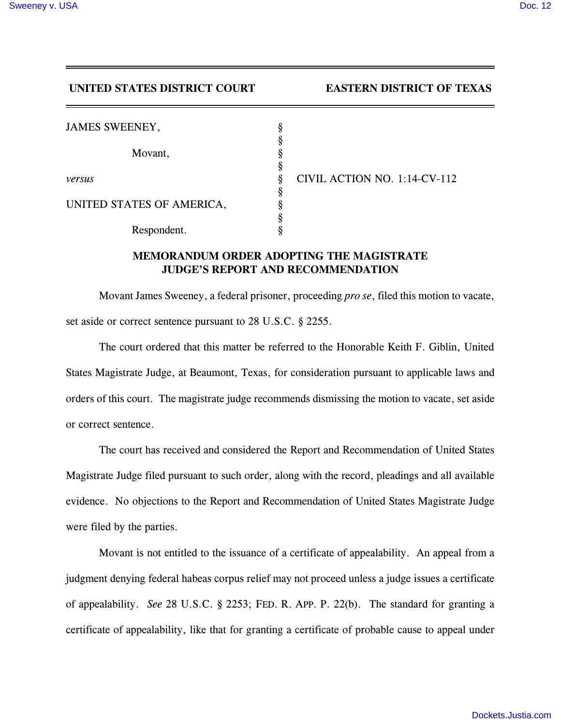## **UNITED STATES DISTRICT COURT EASTERN DISTRICT OF TEXAS**

| <b>JAMES SWEENEY,</b>     | 8 |                              |
|---------------------------|---|------------------------------|
|                           |   |                              |
| Movant,                   |   |                              |
|                           |   |                              |
| versus                    |   | CIVIL ACTION NO. 1:14-CV-112 |
|                           | 8 |                              |
| UNITED STATES OF AMERICA, |   |                              |
|                           |   |                              |
| Respondent.               |   |                              |

## **MEMORANDUM ORDER ADOPTING THE MAGISTRATE JUDGE'S REPORT AND RECOMMENDATION**

Movant James Sweeney, a federal prisoner, proceeding *pro se*, filed this motion to vacate, set aside or correct sentence pursuant to 28 U.S.C. § 2255.

The court ordered that this matter be referred to the Honorable Keith F. Giblin, United States Magistrate Judge, at Beaumont, Texas, for consideration pursuant to applicable laws and orders of this court. The magistrate judge recommends dismissing the motion to vacate, set aside or correct sentence.

The court has received and considered the Report and Recommendation of United States Magistrate Judge filed pursuant to such order, along with the record, pleadings and all available evidence. No objections to the Report and Recommendation of United States Magistrate Judge were filed by the parties.

Movant is not entitled to the issuance of a certificate of appealability. An appeal from a judgment denying federal habeas corpus relief may not proceed unless a judge issues a certificate of appealability. *See* 28 U.S.C. § 2253; FED. R. APP. P. 22(b). The standard for granting a certificate of appealability, like that for granting a certificate of probable cause to appeal under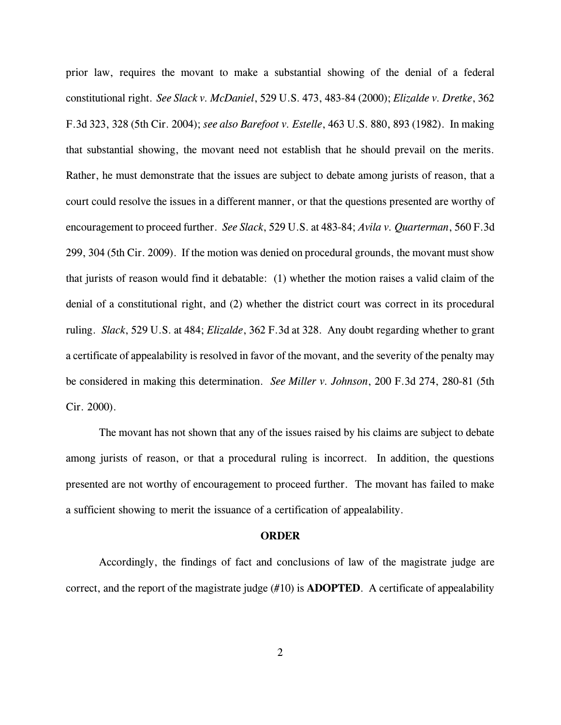prior law, requires the movant to make a substantial showing of the denial of a federal constitutional right. *See Slack v. McDaniel*, 529 U.S. 473, 483-84 (2000); *Elizalde v. Dretke*, 362 F.3d 323, 328 (5th Cir. 2004); *see also Barefoot v. Estelle*, 463 U.S. 880, 893 (1982). In making that substantial showing, the movant need not establish that he should prevail on the merits. Rather, he must demonstrate that the issues are subject to debate among jurists of reason, that a court could resolve the issues in a different manner, or that the questions presented are worthy of encouragement to proceed further. *See Slack*, 529 U.S. at 483-84; *Avila v. Quarterman*, 560 F.3d 299, 304 (5th Cir. 2009). If the motion was denied on procedural grounds, the movant must show that jurists of reason would find it debatable: (1) whether the motion raises a valid claim of the denial of a constitutional right, and (2) whether the district court was correct in its procedural ruling. *Slack*, 529 U.S. at 484; *Elizalde*, 362 F.3d at 328. Any doubt regarding whether to grant a certificate of appealability is resolved in favor of the movant, and the severity of the penalty may be considered in making this determination. *See Miller v. Johnson*, 200 F.3d 274, 280-81 (5th Cir. 2000).

The movant has not shown that any of the issues raised by his claims are subject to debate among jurists of reason, or that a procedural ruling is incorrect. In addition, the questions presented are not worthy of encouragement to proceed further. The movant has failed to make a sufficient showing to merit the issuance of a certification of appealability.

## **ORDER**

Accordingly, the findings of fact and conclusions of law of the magistrate judge are correct, and the report of the magistrate judge (#10) is **ADOPTED**. A certificate of appealability